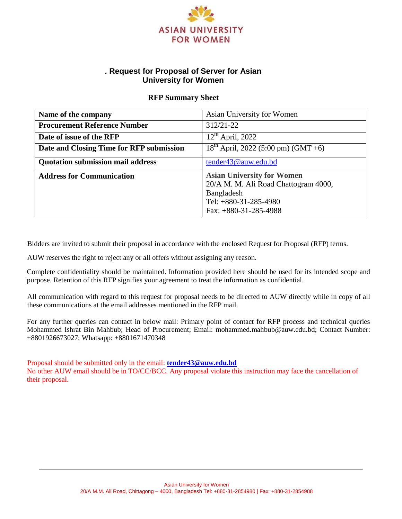

# **. Request for Proposal of Server for Asian University for Women**

## **RFP Summary Sheet**

| Name of the company                                             | Asian University for Women                                                                                                                    |  |
|-----------------------------------------------------------------|-----------------------------------------------------------------------------------------------------------------------------------------------|--|
| <b>Procurement Reference Number</b>                             | 312/21-22                                                                                                                                     |  |
| Date of issue of the RFP                                        | $12th$ April, 2022                                                                                                                            |  |
| Date and Closing Time for RFP submission                        | $18^{th}$ April, 2022 (5:00 pm) (GMT +6)                                                                                                      |  |
| <b>Quotation submission mail address</b><br>tender43@auw.edu.bd |                                                                                                                                               |  |
| <b>Address for Communication</b>                                | <b>Asian University for Women</b><br>20/A M. M. Ali Road Chattogram 4000,<br>Bangladesh<br>Tel: $+880-31-285-4980$<br>Fax: $+880-31-285-4988$ |  |

Bidders are invited to submit their proposal in accordance with the enclosed Request for Proposal (RFP) terms.

AUW reserves the right to reject any or all offers without assigning any reason.

Complete confidentiality should be maintained. Information provided here should be used for its intended scope and purpose. Retention of this RFP signifies your agreement to treat the information as confidential.

All communication with regard to this request for proposal needs to be directed to AUW directly while in copy of all these communications at the email addresses mentioned in the RFP mail.

For any further queries can contact in below mail: Primary point of contact for RFP process and technical queries Mohammed Ishrat Bin Mahbub; Head of Procurement; Email: mohammed.mahbub@auw.edu.bd; Contact Number: +8801926673027; Whatsapp: +8801671470348

Proposal should be submitted only in the email: **[tender43@auw.edu.bd](mailto:tender43@auw.edu.bd)** No other AUW email should be in TO/CC/BCC. Any proposal violate this instruction may face the cancellation of their proposal.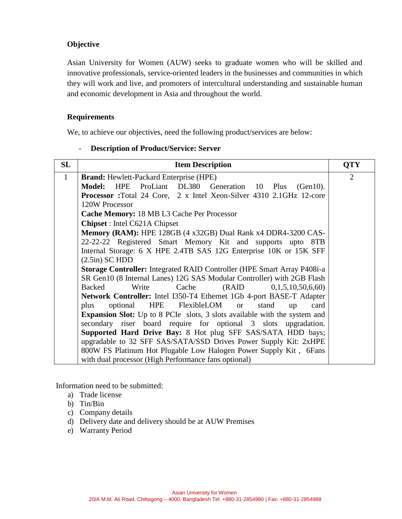## **Objective**

Asian University for Women (AUW) seeks to graduate women who will be skilled and innovative professionals, service-oriented leaders in the businesses and communities in which they will work and live, and promoters of intercultural understanding and sustainable human and economic development in Asia and throughout the world.

### **Requirements**

We, to achieve our objectives, need the following product/services are below:

#### - **Description of Product/Service: Server**

| SL                                         | <b>Item Description</b>                                                           |  |  |
|--------------------------------------------|-----------------------------------------------------------------------------------|--|--|
| $\mathbf{1}$                               | <b>Brand:</b> Hewlett-Packard Enterprise (HPE)                                    |  |  |
|                                            | HPE ProLiant DL380<br><b>Model:</b><br>Generation<br>10 Plus<br>$(Gen10)$ .       |  |  |
|                                            | <b>Processor</b> :Total 24 Core, 2 x Intel Xeon-Silver 4310 2.1GHz 12-core        |  |  |
|                                            | 120W Processor                                                                    |  |  |
| Cache Memory: 18 MB L3 Cache Per Processor |                                                                                   |  |  |
|                                            | <b>Chipset</b> : Intel C621A Chipset                                              |  |  |
|                                            | Memory (RAM): HPE 128GB (4 x32GB) Dual Rank x4 DDR4-3200 CAS-                     |  |  |
|                                            | 22-22-22 Registered Smart Memory Kit and supports upto 8TB                        |  |  |
|                                            | Internal Storage: 6 X HPE 2.4TB SAS 12G Enterprise 10K or 15K SFF                 |  |  |
|                                            | $(2.5in)$ SC HDD                                                                  |  |  |
|                                            | <b>Storage Controller:</b> Integrated RAID Controller (HPE Smart Array P408i-a)   |  |  |
|                                            | SR Gen10 (8 Internal Lanes) 12G SAS Modular Controller) with 2GB Flash            |  |  |
|                                            | (RAID)<br><b>Backed</b><br>Write<br>Cache<br>0,1,5,10,50,6,60                     |  |  |
|                                            | Network Controller: Intel I350-T4 Ethernet 1Gb 4-port BASE-T Adapter              |  |  |
|                                            | <b>HPE</b><br>FlexibleLOM<br>optional<br><b>or</b><br>stand<br>plus<br>card<br>up |  |  |
|                                            | <b>Expansion Slot:</b> Up to 8 PCIe slots, 3 slots available with the system and  |  |  |
|                                            | secondary riser board require for optional 3 slots upgradation.                   |  |  |
|                                            | <b>Supported Hard Drive Bay: 8 Hot plug SFF SAS/SATA HDD bays;</b>                |  |  |
|                                            | upgradable to 32 SFF SAS/SATA/SSD Drives Power Supply Kit: 2xHPE                  |  |  |
|                                            | 800W FS Platinum Hot Plugable Low Halogen Power Supply Kit, 6Fans                 |  |  |
|                                            | with dual processor (High Performance fans optional)                              |  |  |

Information need to be submitted:

- a) Trade license
- b) Tin/Bin
- c) Company details
- d) Delivery date and delivery should be at AUW Premises
- e) Warranty Period